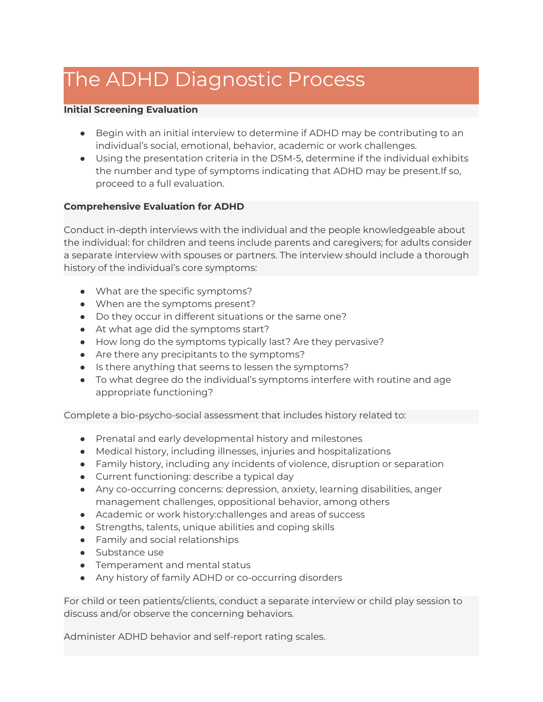## The ADHD Diagnostic Process

## **Initial Screening Evaluation**

- Begin with an initial interview to determine if ADHD may be contributing to an individual's social, emotional, behavior, academic or work challenges.
- Using the presentation criteria in the DSM-5, determine if the individual exhibits the number and type of symptoms indicating that ADHD may be present.If so, proceed to a full evaluation.

## **Comprehensive Evaluation for ADHD**

Conduct in-depth interviews with the individual and the people knowledgeable about the individual: for children and teens include parents and caregivers; for adults consider a separate interview with spouses or partners. The interview should include a thorough history of the individual's core symptoms:

- What are the specific symptoms?
- When are the symptoms present?
- Do they occur in different situations or the same one?
- At what age did the symptoms start?
- How long do the symptoms typically last? Are they pervasive?
- Are there any precipitants to the symptoms?
- Is there anything that seems to lessen the symptoms?
- To what degree do the individual's symptoms interfere with routine and age appropriate functioning?

Complete a bio-psycho-social assessment that includes history related to:

- Prenatal and early developmental history and milestones
- Medical history, including illnesses, injuries and hospitalizations
- Family history, including any incidents of violence, disruption or separation
- Current functioning: describe a typical day
- Any co-occurring concerns: depression, anxiety, learning disabilities, anger management challenges, oppositional behavior, among others
- Academic or work history:challenges and areas of success
- Strengths, talents, unique abilities and coping skills
- Family and social relationships
- Substance use
- Temperament and mental status
- Any history of family ADHD or co-occurring disorders

For child or teen patients/clients, conduct a separate interview or child play session to discuss and/or observe the concerning behaviors.

Administer ADHD behavior and self-report rating scales.